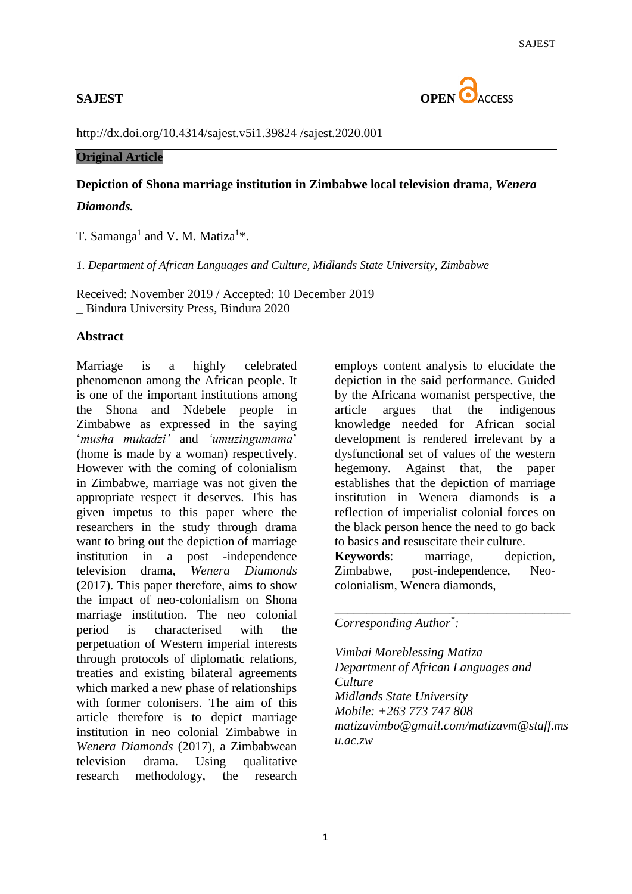

<http://dx.doi.org/10.4314/sajest.v5i1.39824> /sajest.2020.001

# **Original Article**

# **Depiction of Shona marriage institution in Zimbabwe local television drama,** *Wenera Diamonds.*

T. Samanga<sup>1</sup> and V. M. Matiza<sup>1\*</sup>.

*1. Department of African Languages and Culture, Midlands State University, Zimbabwe*

Received: November 2019 / Accepted: 10 December 2019 \_ Bindura University Press, Bindura 2020

# **Abstract**

Marriage is a highly celebrated phenomenon among the African people. It is one of the important institutions among the Shona and Ndebele people in Zimbabwe as expressed in the saying '*musha mukadzi'* and *'umuzingumama*' (home is made by a woman) respectively. However with the coming of colonialism in Zimbabwe, marriage was not given the appropriate respect it deserves. This has given impetus to this paper where the researchers in the study through drama want to bring out the depiction of marriage institution in a post -independence television drama, *Wenera Diamonds*  (2017). This paper therefore, aims to show the impact of neo-colonialism on Shona marriage institution. The neo colonial period is characterised with the perpetuation of Western imperial interests through protocols of diplomatic relations, treaties and existing bilateral agreements which marked a new phase of relationships with former colonisers. The aim of this article therefore is to depict marriage institution in neo colonial Zimbabwe in *Wenera Diamonds* (2017), a Zimbabwean television drama. Using qualitative research methodology, the research

employs content analysis to elucidate the depiction in the said performance. Guided by the Africana womanist perspective, the article argues that the indigenous knowledge needed for African social development is rendered irrelevant by a dysfunctional set of values of the western hegemony. Against that, the paper establishes that the depiction of marriage institution in Wenera diamonds is a reflection of imperialist colonial forces on the black person hence the need to go back to basics and resuscitate their culture.

**Keywords**: marriage, depiction, Zimbabwe, post-independence, Neocolonialism, Wenera diamonds,

*\_\_\_\_\_\_\_\_\_\_\_\_\_\_\_\_\_\_\_\_\_\_\_\_\_\_\_\_\_\_\_\_\_\_\_\_\_*

# *Corresponding Author\* :*

*Vimbai Moreblessing Matiza Department of African Languages and Culture Midlands State University Mobile: +263 773 747 808 [matizavimbo@gmail.com/matizavm@staff.ms](mailto:matizavimbo@gmail.com/matizavm@staff.msu.ac.zw) [u.ac.zw](mailto:matizavimbo@gmail.com/matizavm@staff.msu.ac.zw)*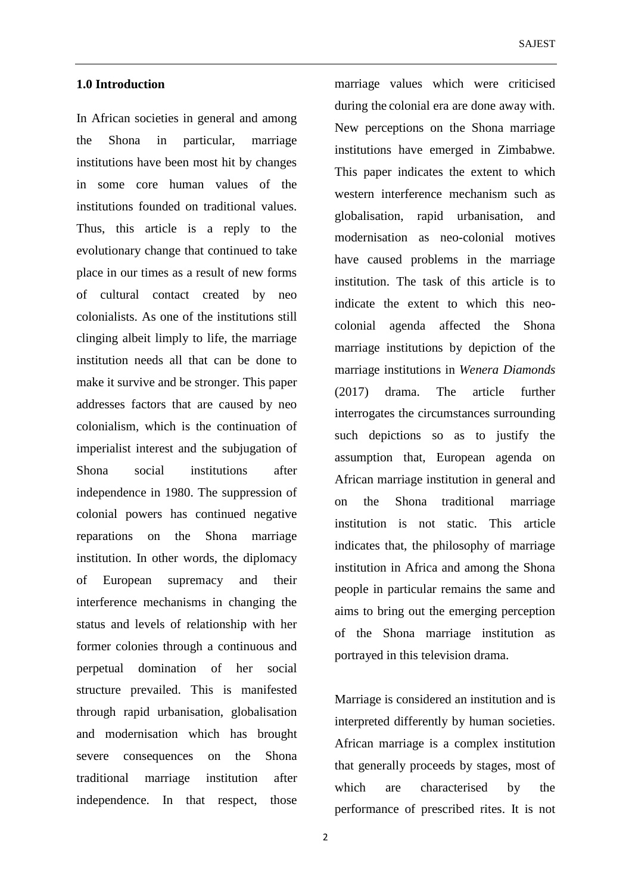### **1.0 Introduction**

In African societies in general and among the Shona in particular, marriage institutions have been most hit by changes in some core human values of the institutions founded on traditional values. Thus, this article is a reply to the evolutionary change that continued to take place in our times as a result of new forms of cultural contact created by neo colonialists. As one of the institutions still clinging albeit limply to life, the marriage institution needs all that can be done to make it survive and be stronger. This paper addresses factors that are caused by neo colonialism, which is the continuation of imperialist interest and the subjugation of Shona social institutions after independence in 1980. The suppression of colonial powers has continued negative reparations on the Shona marriage institution. In other words, the diplomacy of European supremacy and their interference mechanisms in changing the status and levels of relationship with her former colonies through a continuous and perpetual domination of her social structure prevailed. This is manifested through rapid urbanisation, globalisation and modernisation which has brought severe consequences on the Shona traditional marriage institution after independence. In that respect, those

marriage values which were criticised during the colonial era are done away with. New perceptions on the Shona marriage institutions have emerged in Zimbabwe. This paper indicates the extent to which western interference mechanism such as globalisation, rapid urbanisation, and modernisation as neo-colonial motives have caused problems in the marriage institution. The task of this article is to indicate the extent to which this neocolonial agenda affected the Shona marriage institutions by depiction of the marriage institutions in *Wenera Diamonds* (2017) drama. The article further interrogates the circumstances surrounding such depictions so as to justify the assumption that, European agenda on African marriage institution in general and on the Shona traditional marriage institution is not static. This article indicates that, the philosophy of marriage institution in Africa and among the Shona people in particular remains the same and aims to bring out the emerging perception of the Shona marriage institution as portrayed in this television drama.

Marriage is considered an institution and is interpreted differently by human societies. African marriage is a complex institution that generally proceeds by stages, most of which are characterised by the performance of prescribed rites. It is not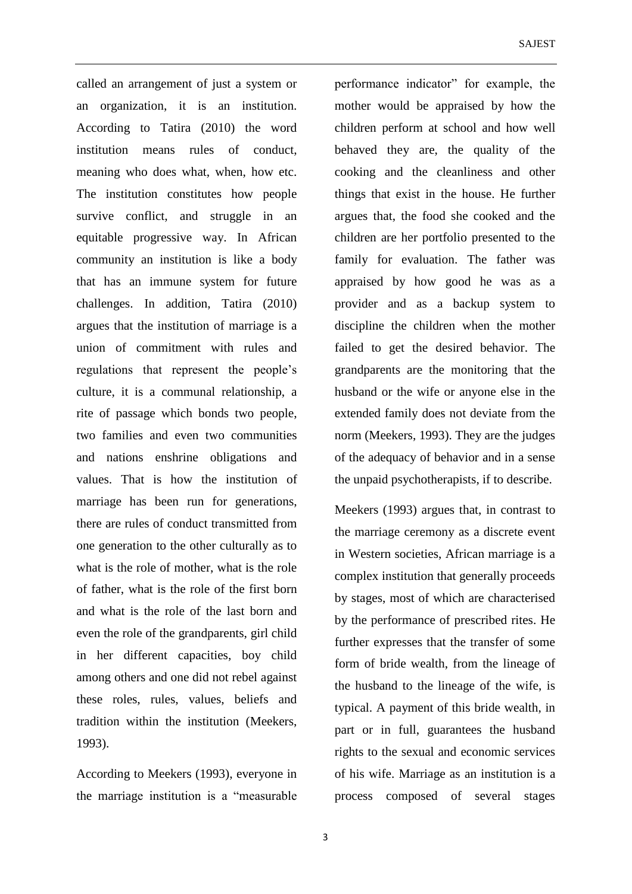called an arrangement of just a system or an organization, it is an institution. According to Tatira (2010) the word institution means rules of conduct, meaning who does what, when, how etc. The institution constitutes how people survive conflict, and struggle in an equitable progressive way. In African community an institution is like a body that has an immune system for future challenges. In addition, Tatira (2010) argues that the institution of marriage is a union of commitment with rules and regulations that represent the people's culture, it is a communal relationship, a rite of passage which bonds two people, two families and even two communities and nations enshrine obligations and values. That is how the institution of marriage has been run for generations, there are rules of conduct transmitted from one generation to the other culturally as to what is the role of mother, what is the role of father, what is the role of the first born and what is the role of the last born and even the role of the grandparents, girl child in her different capacities, boy child among others and one did not rebel against these roles, rules, values, beliefs and tradition within the institution (Meekers, 1993).

According to Meekers (1993), everyone in the marriage institution is a "measurable performance indicator" for example, the mother would be appraised by how the children perform at school and how well behaved they are, the quality of the cooking and the cleanliness and other things that exist in the house. He further argues that, the food she cooked and the children are her portfolio presented to the family for evaluation. The father was appraised by how good he was as a provider and as a backup system to discipline the children when the mother failed to get the desired behavior. The grandparents are the monitoring that the husband or the wife or anyone else in the extended family does not deviate from the norm (Meekers, 1993). They are the judges of the adequacy of behavior and in a sense the unpaid psychotherapists, if to describe.

Meekers (1993) argues that, in contrast to the marriage ceremony as a discrete event in Western societies, African marriage is a complex institution that generally proceeds by stages, most of which are characterised by the performance of prescribed rites. He further expresses that the transfer of some form of bride wealth, from the lineage of the husband to the lineage of the wife, is typical. A payment of this bride wealth, in part or in full, guarantees the husband rights to the sexual and economic services of his wife. Marriage as an institution is a process composed of several stages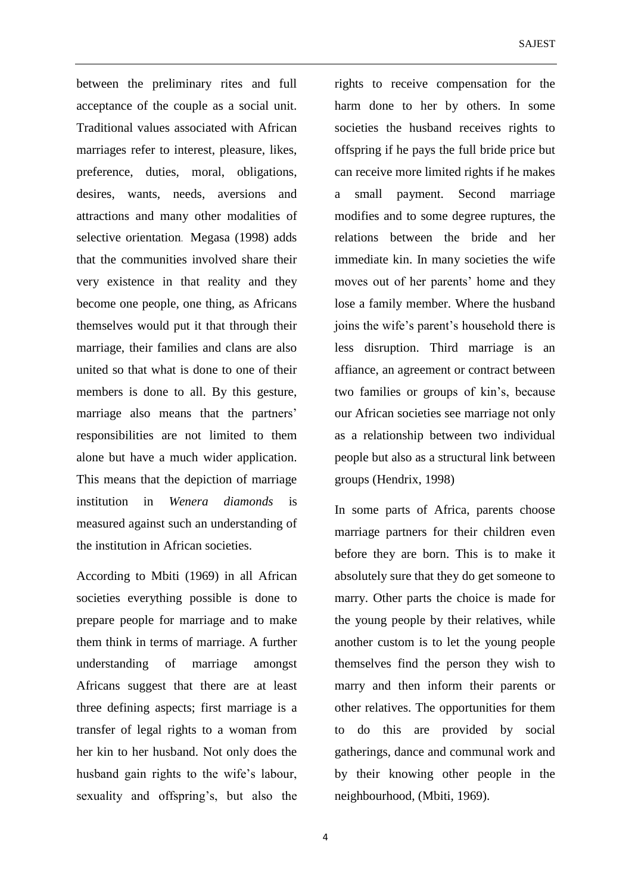between the preliminary rites and full acceptance of the couple as a social unit. Traditional values associated with African marriages refer to interest, pleasure, likes, preference, duties, moral, obligations, desires, wants, needs, aversions and attractions and many other modalities of selective orientation. Megasa (1998) adds that the communities involved share their very existence in that reality and they become one people, one thing, as Africans themselves would put it that through their marriage, their families and clans are also united so that what is done to one of their members is done to all. By this gesture, marriage also means that the partners' responsibilities are not limited to them alone but have a much wider application. This means that the depiction of marriage institution in *Wenera diamonds* is measured against such an understanding of the institution in African societies.

According to Mbiti (1969) in all African societies everything possible is done to prepare people for marriage and to make them think in terms of marriage. A further understanding of marriage amongst Africans suggest that there are at least three defining aspects; first marriage is a transfer of legal rights to a woman from her kin to her husband. Not only does the husband gain rights to the wife's labour, sexuality and offspring's, but also the

rights to receive compensation for the harm done to her by others. In some societies the husband receives rights to offspring if he pays the full bride price but can receive more limited rights if he makes a small payment. Second marriage modifies and to some degree ruptures, the relations between the bride and her immediate kin. In many societies the wife moves out of her parents' home and they lose a family member. Where the husband joins the wife's parent's household there is less disruption. Third marriage is an affiance, an agreement or contract between two families or groups of kin's, because our African societies see marriage not only as a relationship between two individual people but also as a structural link between groups (Hendrix, 1998)

In some parts of Africa, parents choose marriage partners for their children even before they are born. This is to make it absolutely sure that they do get someone to marry. Other parts the choice is made for the young people by their relatives, while another custom is to let the young people themselves find the person they wish to marry and then inform their parents or other relatives. The opportunities for them to do this are provided by social gatherings, dance and communal work and by their knowing other people in the neighbourhood, (Mbiti, 1969).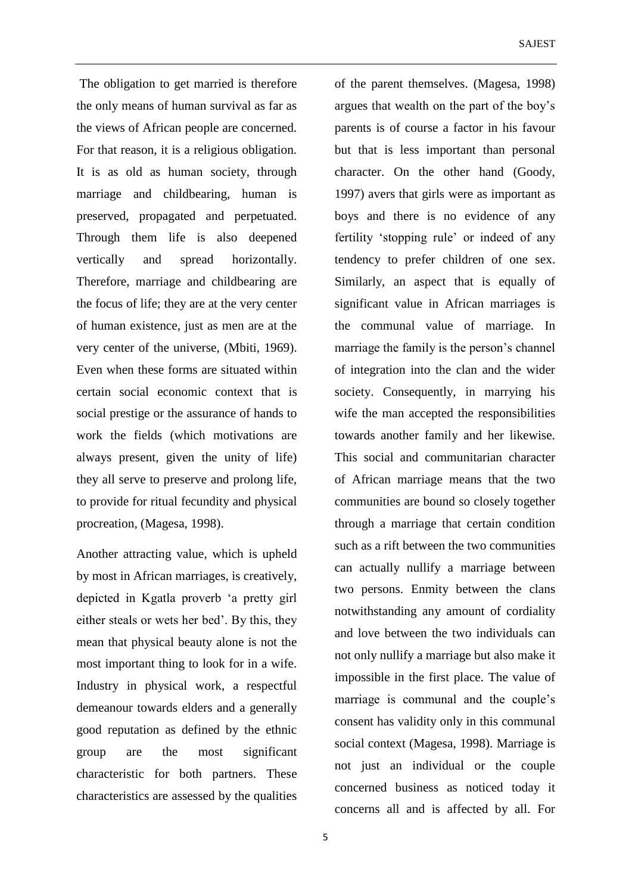The obligation to get married is therefore the only means of human survival as far as the views of African people are concerned. For that reason, it is a religious obligation. It is as old as human society, through marriage and childbearing, human is preserved, propagated and perpetuated. Through them life is also deepened vertically and spread horizontally. Therefore, marriage and childbearing are the focus of life; they are at the very center of human existence, just as men are at the very center of the universe, (Mbiti, 1969). Even when these forms are situated within certain social economic context that is social prestige or the assurance of hands to work the fields (which motivations are always present, given the unity of life) they all serve to preserve and prolong life, to provide for ritual fecundity and physical procreation, (Magesa, 1998).

Another attracting value, which is upheld by most in African marriages, is creatively, depicted in Kgatla proverb 'a pretty girl either steals or wets her bed'. By this, they mean that physical beauty alone is not the most important thing to look for in a wife. Industry in physical work, a respectful demeanour towards elders and a generally good reputation as defined by the ethnic group are the most significant characteristic for both partners. These characteristics are assessed by the qualities

of the parent themselves. (Magesa, 1998) argues that wealth on the part of the boy's parents is of course a factor in his favour but that is less important than personal character. On the other hand (Goody, 1997) avers that girls were as important as boys and there is no evidence of any fertility 'stopping rule' or indeed of any tendency to prefer children of one sex. Similarly, an aspect that is equally of significant value in African marriages is the communal value of marriage. In marriage the family is the person's channel of integration into the clan and the wider society. Consequently, in marrying his wife the man accepted the responsibilities towards another family and her likewise. This social and communitarian character of African marriage means that the two communities are bound so closely together through a marriage that certain condition such as a rift between the two communities can actually nullify a marriage between two persons. Enmity between the clans notwithstanding any amount of cordiality and love between the two individuals can not only nullify a marriage but also make it impossible in the first place. The value of marriage is communal and the couple's consent has validity only in this communal social context (Magesa, 1998). Marriage is not just an individual or the couple concerned business as noticed today it concerns all and is affected by all. For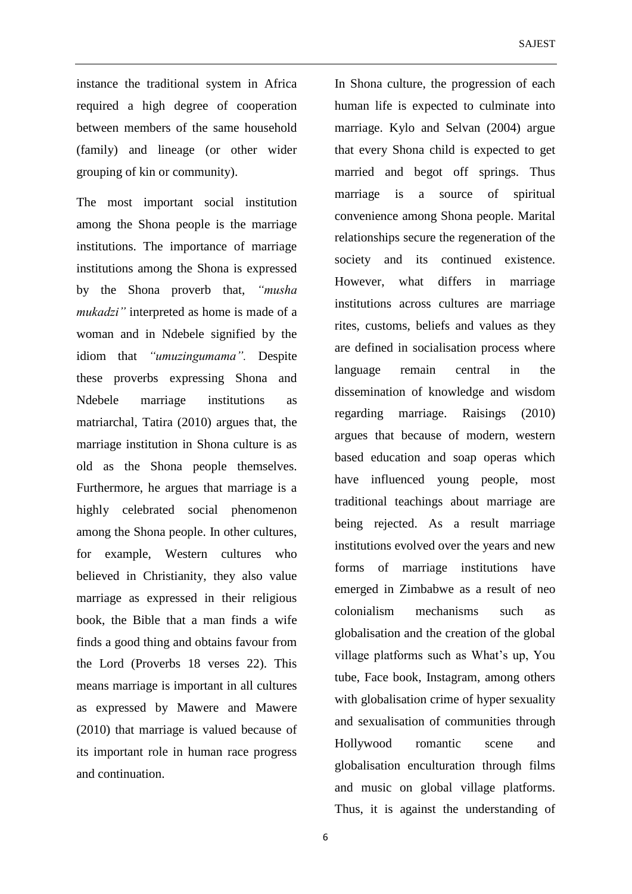instance the traditional system in Africa required a high degree of cooperation between members of the same household (family) and lineage (or other wider grouping of kin or community).

The most important social institution among the Shona people is the marriage institutions. The importance of marriage institutions among the Shona is expressed by the Shona proverb that, *"musha mukadzi"* interpreted as home is made of a woman and in Ndebele signified by the idiom that *"umuzingumama".* Despite these proverbs expressing Shona and Ndebele marriage institutions as matriarchal, Tatira (2010) argues that, the marriage institution in Shona culture is as old as the Shona people themselves. Furthermore, he argues that marriage is a highly celebrated social phenomenon among the Shona people. In other cultures, for example, Western cultures who believed in Christianity, they also value marriage as expressed in their religious book, the Bible that a man finds a wife finds a good thing and obtains favour from the Lord (Proverbs 18 verses 22). This means marriage is important in all cultures as expressed by Mawere and Mawere (2010) that marriage is valued because of its important role in human race progress and continuation.

In Shona culture, the progression of each human life is expected to culminate into marriage. Kylo and Selvan (2004) argue that every Shona child is expected to get married and begot off springs. Thus marriage is a source of spiritual convenience among Shona people. Marital relationships secure the regeneration of the society and its continued existence. However, what differs in marriage institutions across cultures are marriage rites, customs, beliefs and values as they are defined in socialisation process where language remain central in the dissemination of knowledge and wisdom regarding marriage. Raisings (2010) argues that because of modern, western based education and soap operas which have influenced young people, most traditional teachings about marriage are being rejected. As a result marriage institutions evolved over the years and new forms of marriage institutions have emerged in Zimbabwe as a result of neo colonialism mechanisms such as globalisation and the creation of the global village platforms such as What's up, You tube, Face book, Instagram, among others with globalisation crime of hyper sexuality and sexualisation of communities through Hollywood romantic scene and globalisation enculturation through films and music on global village platforms. Thus, it is against the understanding of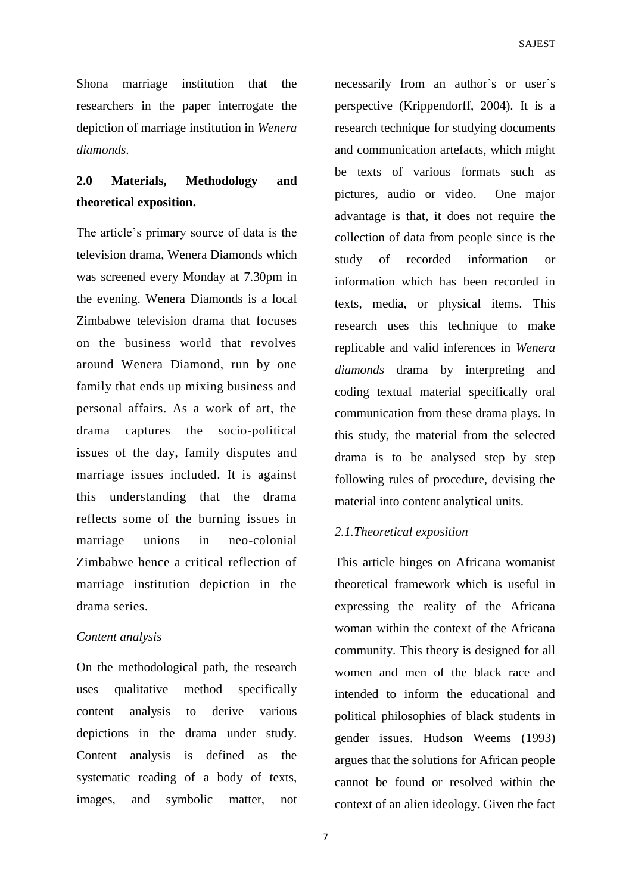Shona marriage institution that the researchers in the paper interrogate the depiction of marriage institution in *Wenera diamonds*.

# **2.0 Materials, Methodology and theoretical exposition.**

The article's primary source of data is the television drama, Wenera Diamonds which was screened every Monday at 7.30pm in the evening. Wenera Diamonds is a local Zimbabwe television drama that focuses on the business world that revolves around Wenera Diamond, run by one family that ends up mixing business and personal affairs. As a work of art, the drama captures the socio-political issues of the day, family disputes and marriage issues included. It is against this understanding that the drama reflects some of the burning issues in marriage unions in neo-colonial Zimbabwe hence a critical reflection of marriage institution depiction in the drama series.

### *Content analysis*

On the methodological path, the research uses qualitative method specifically content analysis to derive various depictions in the drama under study. Content analysis is defined as the systematic reading of a body of texts, images, and symbolic matter, not necessarily from an author`s or user`s perspective (Krippendorff, 2004). It is a research technique for studying documents and communication artefacts, which might be texts of various formats such as pictures, audio or video. One major advantage is that, it does not require the collection of data from people since is the study of recorded information or information which has been recorded in texts, media, or physical items. This research uses this technique to make replicable and valid inferences in *Wenera diamonds* drama by interpreting and coding textual material specifically oral communication from these drama plays. In this study, the material from the selected drama is to be analysed step by step following rules of procedure, devising the material into content analytical units.

# *2.1.Theoretical exposition*

This article hinges on Africana womanist theoretical framework which is useful in expressing the reality of the Africana woman within the context of the Africana community. This theory is designed for all women and men of the black race and intended to inform the educational and political philosophies of black students in gender issues. Hudson Weems (1993) argues that the solutions for African people cannot be found or resolved within the context of an alien ideology. Given the fact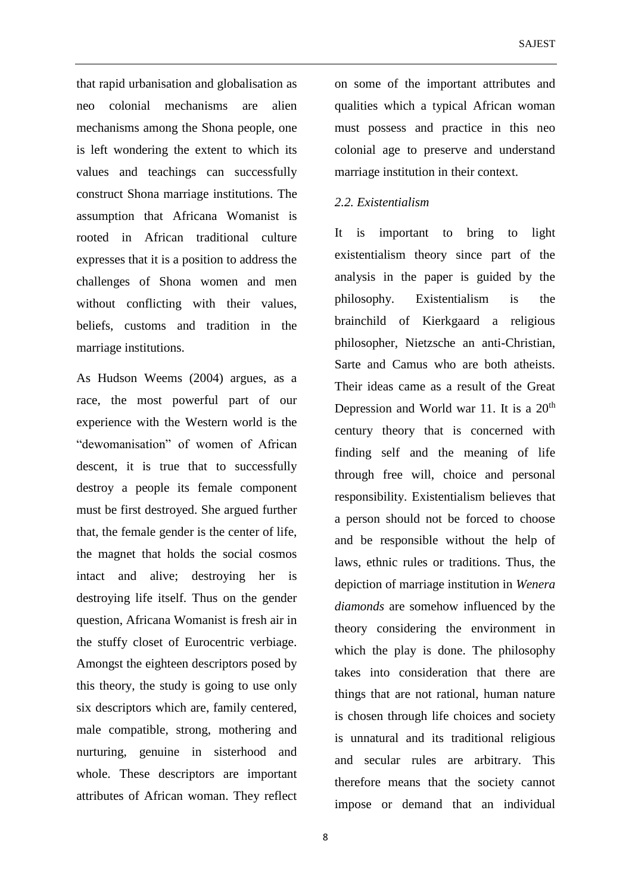that rapid urbanisation and globalisation as neo colonial mechanisms are alien mechanisms among the Shona people, one is left wondering the extent to which its values and teachings can successfully construct Shona marriage institutions. The assumption that Africana Womanist is rooted in African traditional culture expresses that it is a position to address the challenges of Shona women and men without conflicting with their values, beliefs, customs and tradition in the marriage institutions.

As Hudson Weems (2004) argues, as a race, the most powerful part of our experience with the Western world is the "dewomanisation" of women of African descent, it is true that to successfully destroy a people its female component must be first destroyed. She argued further that, the female gender is the center of life, the magnet that holds the social cosmos intact and alive; destroying her is destroying life itself. Thus on the gender question, Africana Womanist is fresh air in the stuffy closet of Eurocentric verbiage. Amongst the eighteen descriptors posed by this theory, the study is going to use only six descriptors which are, family centered, male compatible, strong, mothering and nurturing, genuine in sisterhood and whole. These descriptors are important attributes of African woman. They reflect on some of the important attributes and qualities which a typical African woman must possess and practice in this neo colonial age to preserve and understand marriage institution in their context.

### *2.2. Existentialism*

It is important to bring to light existentialism theory since part of the analysis in the paper is guided by the philosophy. Existentialism is the brainchild of Kierkgaard a religious philosopher, Nietzsche an anti-Christian, Sarte and Camus who are both atheists. Their ideas came as a result of the Great Depression and World war 11. It is a  $20<sup>th</sup>$ century theory that is concerned with finding self and the meaning of life through free will, choice and personal responsibility. Existentialism believes that a person should not be forced to choose and be responsible without the help of laws, ethnic rules or traditions. Thus, the depiction of marriage institution in *Wenera diamonds* are somehow influenced by the theory considering the environment in which the play is done. The philosophy takes into consideration that there are things that are not rational, human nature is chosen through life choices and society is unnatural and its traditional religious and secular rules are arbitrary. This therefore means that the society cannot impose or demand that an individual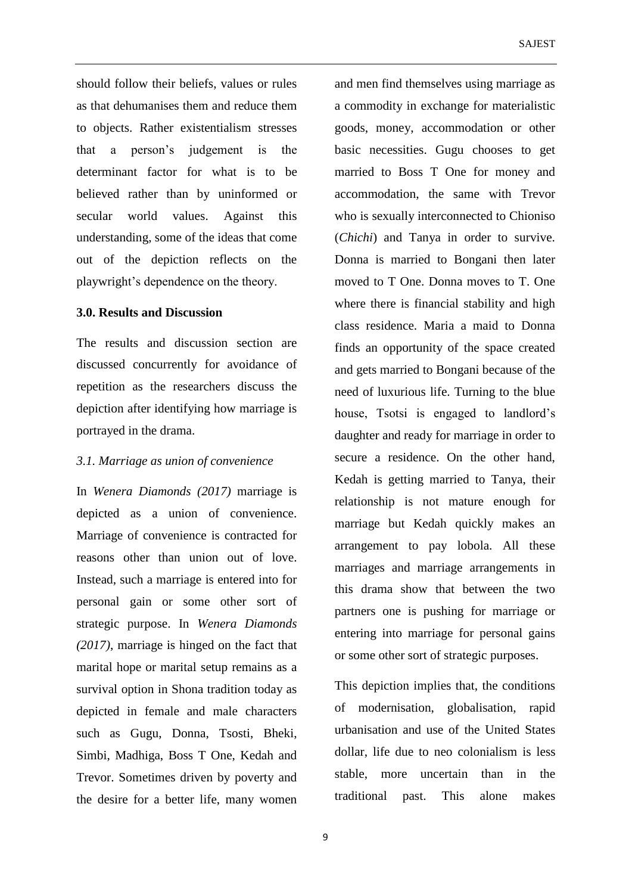should follow their beliefs, values or rules as that dehumanises them and reduce them to objects. Rather existentialism stresses that a person's judgement is the determinant factor for what is to be believed rather than by uninformed or secular world values. Against this understanding, some of the ideas that come out of the depiction reflects on the playwright's dependence on the theory.

#### **3.0. Results and Discussion**

The results and discussion section are discussed concurrently for avoidance of repetition as the researchers discuss the depiction after identifying how marriage is portrayed in the drama.

### *3.1. Marriage as union of convenience*

In *Wenera Diamonds (2017)* marriage is depicted as a union of convenience. Marriage of convenience is contracted for reasons other than union out of love. Instead, such a marriage is entered into for personal gain or some other sort of strategic purpose. In *Wenera Diamonds (2017)*, marriage is hinged on the fact that marital hope or marital setup remains as a survival option in Shona tradition today as depicted in female and male characters such as Gugu, Donna, Tsosti, Bheki, Simbi, Madhiga, Boss T One, Kedah and Trevor. Sometimes driven by poverty and the desire for a better life, many women

and men find themselves using marriage as a commodity in exchange for materialistic goods, money, accommodation or other basic necessities. Gugu chooses to get married to Boss T One for money and accommodation, the same with Trevor who is sexually interconnected to Chioniso (*Chichi*) and Tanya in order to survive. Donna is married to Bongani then later moved to T One. Donna moves to T. One where there is financial stability and high class residence. Maria a maid to Donna finds an opportunity of the space created and gets married to Bongani because of the need of luxurious life. Turning to the blue house, Tsotsi is engaged to landlord's daughter and ready for marriage in order to secure a residence. On the other hand, Kedah is getting married to Tanya, their relationship is not mature enough for marriage but Kedah quickly makes an arrangement to pay lobola. All these marriages and marriage arrangements in this drama show that between the two partners one is pushing for marriage or entering into marriage for personal gains or some other sort of strategic purposes.

This depiction implies that, the conditions of modernisation, globalisation, rapid urbanisation and use of the United States dollar, life due to neo colonialism is less stable, more uncertain than in the traditional past. This alone makes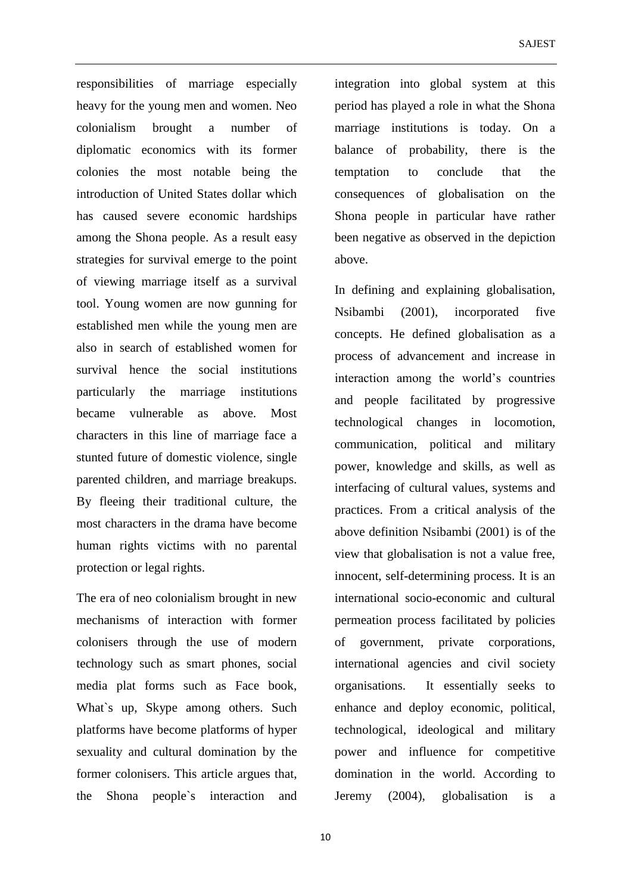responsibilities of marriage especially heavy for the young men and women. Neo colonialism brought a number of diplomatic economics with its former colonies the most notable being the introduction of United States dollar which has caused severe economic hardships among the Shona people. As a result easy strategies for survival emerge to the point of viewing marriage itself as a survival tool. Young women are now gunning for established men while the young men are also in search of established women for survival hence the social institutions particularly the marriage institutions became vulnerable as above. Most characters in this line of marriage face a stunted future of domestic violence, single parented children, and marriage breakups. By fleeing their traditional culture, the most characters in the drama have become human rights victims with no parental protection or legal rights.

The era of neo colonialism brought in new mechanisms of interaction with former colonisers through the use of modern technology such as smart phones, social media plat forms such as Face book, What`s up, Skype among others. Such platforms have become platforms of hyper sexuality and cultural domination by the former colonisers. This article argues that, the Shona people`s interaction and

integration into global system at this period has played a role in what the Shona marriage institutions is today. On a balance of probability, there is the temptation to conclude that the consequences of globalisation on the Shona people in particular have rather been negative as observed in the depiction above.

In defining and explaining globalisation, Nsibambi (2001), incorporated five concepts. He defined globalisation as a process of advancement and increase in interaction among the world's countries and people facilitated by progressive technological changes in locomotion, communication, political and military power, knowledge and skills, as well as interfacing of cultural values, systems and practices. From a critical analysis of the above definition Nsibambi (2001) is of the view that globalisation is not a value free, innocent, self-determining process. It is an international socio-economic and cultural permeation process facilitated by policies of government, private corporations, international agencies and civil society organisations. It essentially seeks to enhance and deploy economic, political, technological, ideological and military power and influence for competitive domination in the world. According to Jeremy (2004), globalisation is a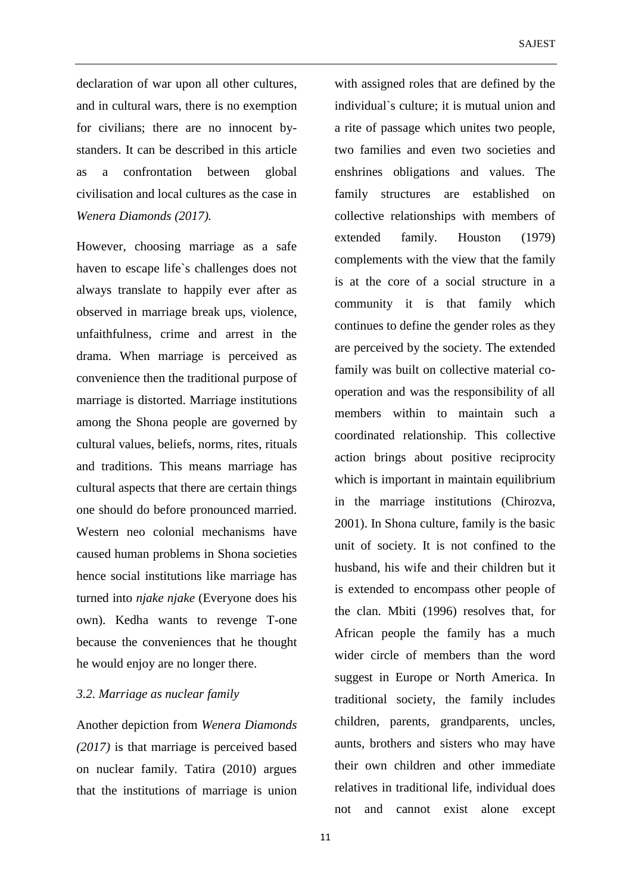declaration of war upon all other cultures, and in cultural wars, there is no exemption for civilians; there are no innocent bystanders. It can be described in this article as a confrontation between global civilisation and local cultures as the case in *Wenera Diamonds (2017).*

However, choosing marriage as a safe haven to escape life`s challenges does not always translate to happily ever after as observed in marriage break ups, violence, unfaithfulness, crime and arrest in the drama. When marriage is perceived as convenience then the traditional purpose of marriage is distorted. Marriage institutions among the Shona people are governed by cultural values, beliefs, norms, rites, rituals and traditions. This means marriage has cultural aspects that there are certain things one should do before pronounced married. Western neo colonial mechanisms have caused human problems in Shona societies hence social institutions like marriage has turned into *njake njake* (Everyone does his own). Kedha wants to revenge T-one because the conveniences that he thought he would enjoy are no longer there.

### *3.2. Marriage as nuclear family*

Another depiction from *Wenera Diamonds (2017)* is that marriage is perceived based on nuclear family. Tatira (2010) argues that the institutions of marriage is union

with assigned roles that are defined by the individual`s culture; it is mutual union and a rite of passage which unites two people, two families and even two societies and enshrines obligations and values. The family structures are established on collective relationships with members of extended family. Houston (1979) complements with the view that the family is at the core of a social structure in a community it is that family which continues to define the gender roles as they are perceived by the society. The extended family was built on collective material cooperation and was the responsibility of all members within to maintain such a coordinated relationship. This collective action brings about positive reciprocity which is important in maintain equilibrium in the marriage institutions (Chirozva, 2001). In Shona culture, family is the basic unit of society. It is not confined to the husband, his wife and their children but it is extended to encompass other people of the clan. Mbiti (1996) resolves that, for African people the family has a much wider circle of members than the word suggest in Europe or North America. In traditional society, the family includes children, parents, grandparents, uncles, aunts, brothers and sisters who may have their own children and other immediate relatives in traditional life, individual does not and cannot exist alone except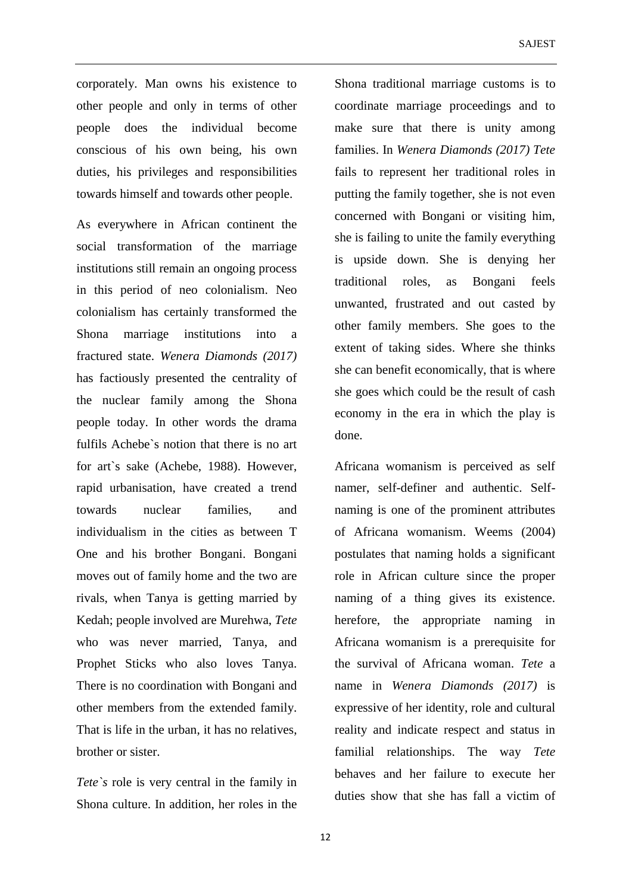corporately. Man owns his existence to other people and only in terms of other people does the individual become conscious of his own being, his own duties, his privileges and responsibilities towards himself and towards other people.

As everywhere in African continent the social transformation of the marriage institutions still remain an ongoing process in this period of neo colonialism. Neo colonialism has certainly transformed the Shona marriage institutions into a fractured state. *Wenera Diamonds (2017)* has factiously presented the centrality of the nuclear family among the Shona people today. In other words the drama fulfils Achebe`s notion that there is no art for art`s sake (Achebe, 1988). However, rapid urbanisation, have created a trend towards nuclear families, and individualism in the cities as between T One and his brother Bongani. Bongani moves out of family home and the two are rivals, when Tanya is getting married by Kedah; people involved are Murehwa, *Tete*  who was never married, Tanya, and Prophet Sticks who also loves Tanya. There is no coordination with Bongani and other members from the extended family. That is life in the urban, it has no relatives, brother or sister.

*Tete`s* role is very central in the family in Shona culture. In addition, her roles in the

Shona traditional marriage customs is to coordinate marriage proceedings and to make sure that there is unity among families. In *Wenera Diamonds (2017) Tete* fails to represent her traditional roles in putting the family together, she is not even concerned with Bongani or visiting him, she is failing to unite the family everything is upside down. She is denying her traditional roles, as Bongani feels unwanted, frustrated and out casted by other family members. She goes to the extent of taking sides. Where she thinks she can benefit economically, that is where she goes which could be the result of cash economy in the era in which the play is done.

Africana womanism is perceived as self namer, self-definer and authentic. Selfnaming is one of the prominent attributes of Africana womanism. Weems (2004) postulates that naming holds a significant role in African culture since the proper naming of a thing gives its existence. herefore, the appropriate naming in Africana womanism is a prerequisite for the survival of Africana woman. *Tete* a name in *Wenera Diamonds (2017)* is expressive of her identity, role and cultural reality and indicate respect and status in familial relationships. The way *Tete* behaves and her failure to execute her duties show that she has fall a victim of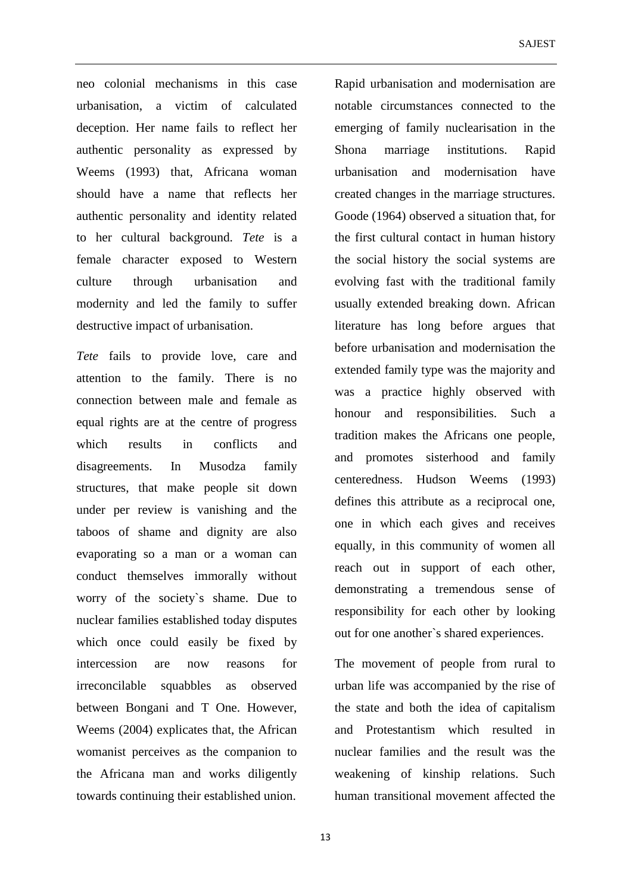neo colonial mechanisms in this case urbanisation, a victim of calculated deception. Her name fails to reflect her authentic personality as expressed by Weems (1993) that, Africana woman should have a name that reflects her authentic personality and identity related to her cultural background. *Tete* is a female character exposed to Western culture through urbanisation and modernity and led the family to suffer destructive impact of urbanisation.

*Tete* fails to provide love, care and attention to the family. There is no connection between male and female as equal rights are at the centre of progress which results in conflicts and disagreements. In Musodza family structures, that make people sit down under per review is vanishing and the taboos of shame and dignity are also evaporating so a man or a woman can conduct themselves immorally without worry of the society`s shame. Due to nuclear families established today disputes which once could easily be fixed by intercession are now reasons for irreconcilable squabbles as observed between Bongani and T One. However, Weems (2004) explicates that, the African womanist perceives as the companion to the Africana man and works diligently towards continuing their established union.

Rapid urbanisation and modernisation are notable circumstances connected to the emerging of family nuclearisation in the Shona marriage institutions. Rapid urbanisation and modernisation have created changes in the marriage structures. Goode (1964) observed a situation that, for the first cultural contact in human history the social history the social systems are evolving fast with the traditional family usually extended breaking down. African literature has long before argues that before urbanisation and modernisation the extended family type was the majority and was a practice highly observed with honour and responsibilities. Such a tradition makes the Africans one people, and promotes sisterhood and family centeredness. Hudson Weems (1993) defines this attribute as a reciprocal one, one in which each gives and receives equally, in this community of women all reach out in support of each other, demonstrating a tremendous sense of responsibility for each other by looking out for one another`s shared experiences.

The movement of people from rural to urban life was accompanied by the rise of the state and both the idea of capitalism and Protestantism which resulted in nuclear families and the result was the weakening of kinship relations. Such human transitional movement affected the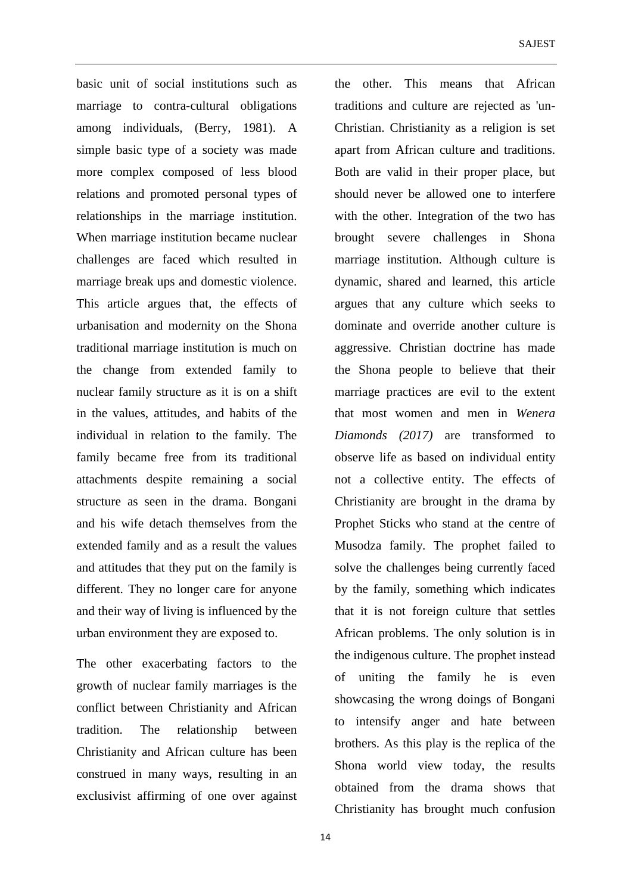basic unit of social institutions such as marriage to contra-cultural obligations among individuals, (Berry, 1981). A simple basic type of a society was made more complex composed of less blood relations and promoted personal types of relationships in the marriage institution. When marriage institution became nuclear challenges are faced which resulted in marriage break ups and domestic violence. This article argues that, the effects of urbanisation and modernity on the Shona traditional marriage institution is much on the change from extended family to nuclear family structure as it is on a shift in the values, attitudes, and habits of the individual in relation to the family. The family became free from its traditional attachments despite remaining a social structure as seen in the drama. Bongani and his wife detach themselves from the extended family and as a result the values and attitudes that they put on the family is different. They no longer care for anyone and their way of living is influenced by the urban environment they are exposed to.

The other exacerbating factors to the growth of nuclear family marriages is the conflict between Christianity and African tradition. The relationship between Christianity and African culture has been construed in many ways, resulting in an exclusivist affirming of one over against the other. This means that African traditions and culture are rejected as 'un-Christian. Christianity as a religion is set apart from African culture and traditions. Both are valid in their proper place, but should never be allowed one to interfere with the other. Integration of the two has brought severe challenges in Shona marriage institution. Although culture is dynamic, shared and learned, this article argues that any culture which seeks to dominate and override another culture is aggressive. Christian doctrine has made the Shona people to believe that their marriage practices are evil to the extent that most women and men in *Wenera Diamonds (2017)* are transformed to observe life as based on individual entity not a collective entity. The effects of Christianity are brought in the drama by Prophet Sticks who stand at the centre of Musodza family. The prophet failed to solve the challenges being currently faced by the family, something which indicates that it is not foreign culture that settles African problems. The only solution is in the indigenous culture. The prophet instead of uniting the family he is even showcasing the wrong doings of Bongani to intensify anger and hate between brothers. As this play is the replica of the Shona world view today, the results obtained from the drama shows that Christianity has brought much confusion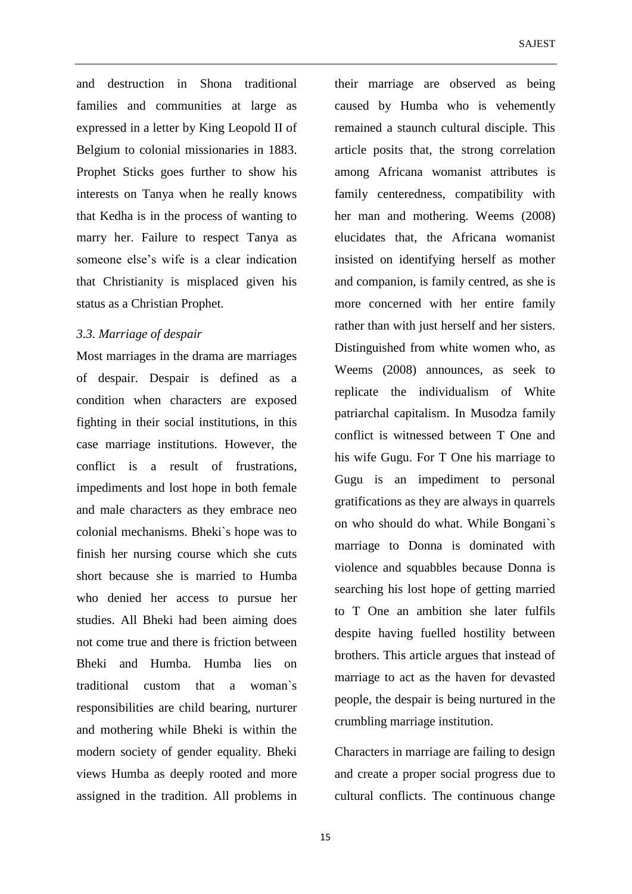and destruction in Shona traditional families and communities at large as expressed in a letter by King Leopold II of Belgium to colonial missionaries in 1883. Prophet Sticks goes further to show his interests on Tanya when he really knows that Kedha is in the process of wanting to marry her. Failure to respect Tanya as someone else's wife is a clear indication that Christianity is misplaced given his status as a Christian Prophet.

## *3.3. Marriage of despair*

Most marriages in the drama are marriages of despair. Despair is defined as a condition when characters are exposed fighting in their social institutions, in this case marriage institutions. However, the conflict is a result of frustrations, impediments and lost hope in both female and male characters as they embrace neo colonial mechanisms. Bheki`s hope was to finish her nursing course which she cuts short because she is married to Humba who denied her access to pursue her studies. All Bheki had been aiming does not come true and there is friction between Bheki and Humba. Humba lies on traditional custom that a woman`s responsibilities are child bearing, nurturer and mothering while Bheki is within the modern society of gender equality. Bheki views Humba as deeply rooted and more assigned in the tradition. All problems in

their marriage are observed as being caused by Humba who is vehemently remained a staunch cultural disciple. This article posits that, the strong correlation among Africana womanist attributes is family centeredness, compatibility with her man and mothering. Weems (2008) elucidates that, the Africana womanist insisted on identifying herself as mother and companion, is family centred, as she is more concerned with her entire family rather than with just herself and her sisters. Distinguished from white women who, as Weems (2008) announces, as seek to replicate the individualism of White patriarchal capitalism. In Musodza family conflict is witnessed between T One and his wife Gugu. For T One his marriage to Gugu is an impediment to personal gratifications as they are always in quarrels on who should do what. While Bongani`s marriage to Donna is dominated with violence and squabbles because Donna is searching his lost hope of getting married to T One an ambition she later fulfils despite having fuelled hostility between brothers. This article argues that instead of marriage to act as the haven for devasted people, the despair is being nurtured in the crumbling marriage institution.

Characters in marriage are failing to design and create a proper social progress due to cultural conflicts. The continuous change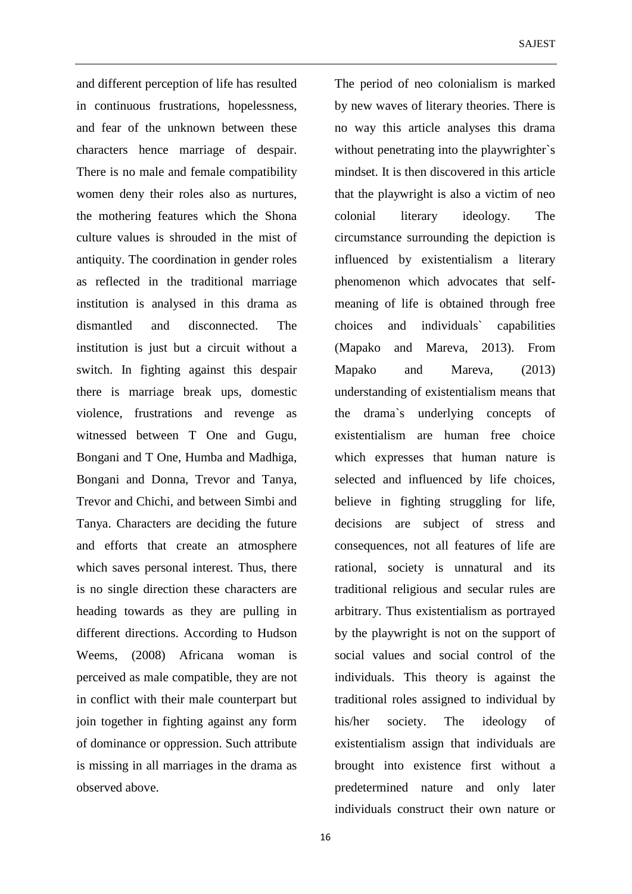and different perception of life has resulted in continuous frustrations, hopelessness, and fear of the unknown between these characters hence marriage of despair. There is no male and female compatibility women deny their roles also as nurtures, the mothering features which the Shona culture values is shrouded in the mist of antiquity. The coordination in gender roles as reflected in the traditional marriage institution is analysed in this drama as dismantled and disconnected. The institution is just but a circuit without a switch. In fighting against this despair there is marriage break ups, domestic violence, frustrations and revenge as witnessed between T One and Gugu, Bongani and T One, Humba and Madhiga, Bongani and Donna, Trevor and Tanya, Trevor and Chichi, and between Simbi and Tanya. Characters are deciding the future and efforts that create an atmosphere which saves personal interest. Thus, there is no single direction these characters are heading towards as they are pulling in different directions. According to Hudson Weems, (2008) Africana woman is perceived as male compatible, they are not in conflict with their male counterpart but join together in fighting against any form of dominance or oppression. Such attribute is missing in all marriages in the drama as observed above.

The period of neo colonialism is marked by new waves of literary theories. There is no way this article analyses this drama without penetrating into the playwrighter`s mindset. It is then discovered in this article that the playwright is also a victim of neo colonial literary ideology. The circumstance surrounding the depiction is influenced by existentialism a literary phenomenon which advocates that selfmeaning of life is obtained through free choices and individuals` capabilities (Mapako and Mareva, 2013). From Mapako and Mareva, (2013) understanding of existentialism means that the drama`s underlying concepts of existentialism are human free choice which expresses that human nature is selected and influenced by life choices, believe in fighting struggling for life, decisions are subject of stress and consequences, not all features of life are rational, society is unnatural and its traditional religious and secular rules are arbitrary. Thus existentialism as portrayed by the playwright is not on the support of social values and social control of the individuals. This theory is against the traditional roles assigned to individual by his/her society. The ideology of existentialism assign that individuals are brought into existence first without a predetermined nature and only later individuals construct their own nature or

16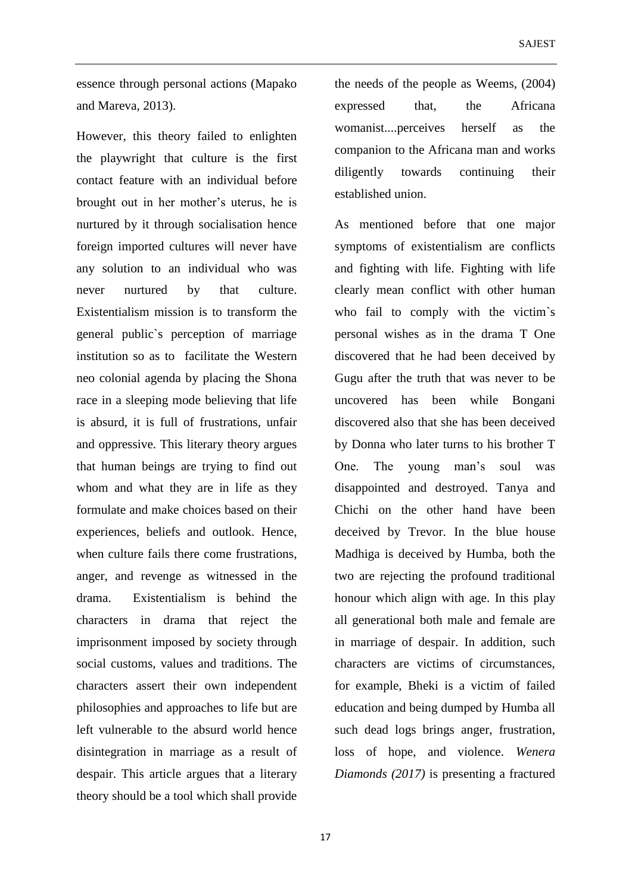essence through personal actions (Mapako and Mareva, 2013).

However, this theory failed to enlighten the playwright that culture is the first contact feature with an individual before brought out in her mother's uterus, he is nurtured by it through socialisation hence foreign imported cultures will never have any solution to an individual who was never nurtured by that culture. Existentialism mission is to transform the general public`s perception of marriage institution so as to facilitate the Western neo colonial agenda by placing the Shona race in a sleeping mode believing that life is absurd, it is full of frustrations, unfair and oppressive. This literary theory argues that human beings are trying to find out whom and what they are in life as they formulate and make choices based on their experiences, beliefs and outlook. Hence, when culture fails there come frustrations, anger, and revenge as witnessed in the drama. Existentialism is behind the characters in drama that reject the imprisonment imposed by society through social customs, values and traditions. The characters assert their own independent philosophies and approaches to life but are left vulnerable to the absurd world hence disintegration in marriage as a result of despair. This article argues that a literary theory should be a tool which shall provide the needs of the people as Weems, (2004) expressed that, the Africana womanist....perceives herself as the companion to the Africana man and works diligently towards continuing their established union.

As mentioned before that one major symptoms of existentialism are conflicts and fighting with life. Fighting with life clearly mean conflict with other human who fail to comply with the victim's personal wishes as in the drama T One discovered that he had been deceived by Gugu after the truth that was never to be uncovered has been while Bongani discovered also that she has been deceived by Donna who later turns to his brother T One. The young man's soul was disappointed and destroyed. Tanya and Chichi on the other hand have been deceived by Trevor. In the blue house Madhiga is deceived by Humba, both the two are rejecting the profound traditional honour which align with age. In this play all generational both male and female are in marriage of despair. In addition, such characters are victims of circumstances, for example, Bheki is a victim of failed education and being dumped by Humba all such dead logs brings anger, frustration, loss of hope, and violence. *Wenera Diamonds (2017)* is presenting a fractured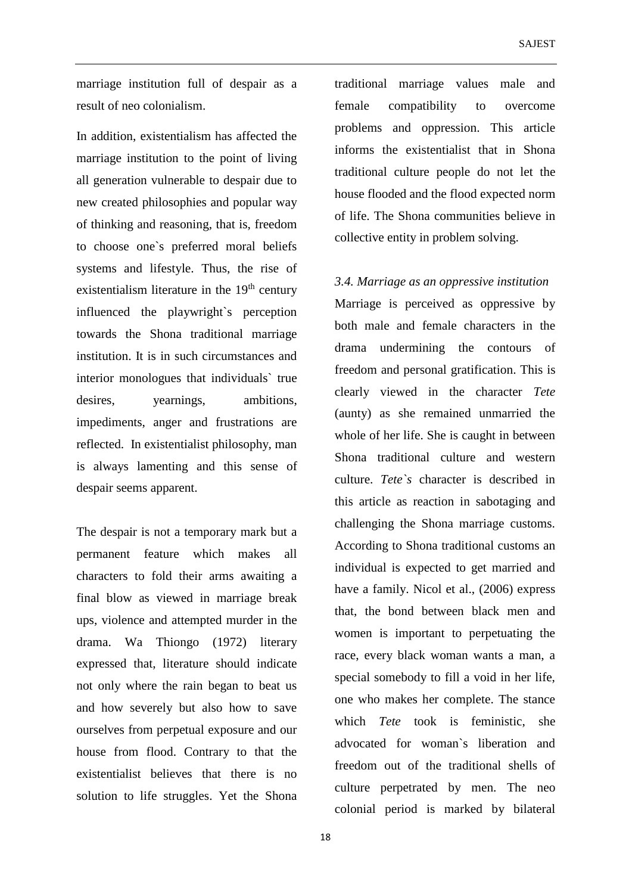marriage institution full of despair as a result of neo colonialism.

In addition, existentialism has affected the marriage institution to the point of living all generation vulnerable to despair due to new created philosophies and popular way of thinking and reasoning, that is, freedom to choose one`s preferred moral beliefs systems and lifestyle. Thus, the rise of existentialism literature in the  $19<sup>th</sup>$  century influenced the playwright`s perception towards the Shona traditional marriage institution. It is in such circumstances and interior monologues that individuals` true desires, yearnings, ambitions, impediments, anger and frustrations are reflected. In existentialist philosophy, man is always lamenting and this sense of despair seems apparent.

The despair is not a temporary mark but a permanent feature which makes all characters to fold their arms awaiting a final blow as viewed in marriage break ups, violence and attempted murder in the drama. Wa Thiongo (1972) literary expressed that, literature should indicate not only where the rain began to beat us and how severely but also how to save ourselves from perpetual exposure and our house from flood. Contrary to that the existentialist believes that there is no solution to life struggles. Yet the Shona traditional marriage values male and female compatibility to overcome problems and oppression. This article informs the existentialist that in Shona traditional culture people do not let the house flooded and the flood expected norm of life. The Shona communities believe in collective entity in problem solving.

*3.4. Marriage as an oppressive institution*

Marriage is perceived as oppressive by both male and female characters in the drama undermining the contours of freedom and personal gratification. This is clearly viewed in the character *Tete* (aunty) as she remained unmarried the whole of her life. She is caught in between Shona traditional culture and western culture. *Tete`s* character is described in this article as reaction in sabotaging and challenging the Shona marriage customs. According to Shona traditional customs an individual is expected to get married and have a family. Nicol et al., (2006) express that, the bond between black men and women is important to perpetuating the race, every black woman wants a man, a special somebody to fill a void in her life, one who makes her complete. The stance which *Tete* took is feministic, she advocated for woman`s liberation and freedom out of the traditional shells of culture perpetrated by men. The neo colonial period is marked by bilateral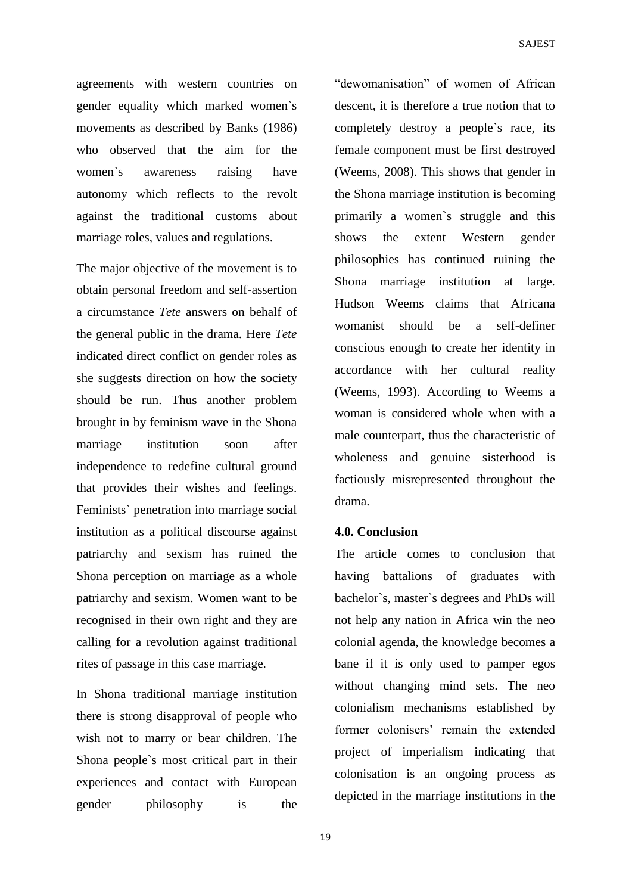agreements with western countries on gender equality which marked women`s movements as described by Banks (1986) who observed that the aim for the women`s awareness raising have autonomy which reflects to the revolt against the traditional customs about marriage roles, values and regulations.

The major objective of the movement is to obtain personal freedom and self-assertion a circumstance *Tete* answers on behalf of the general public in the drama. Here *Tete* indicated direct conflict on gender roles as she suggests direction on how the society should be run. Thus another problem brought in by feminism wave in the Shona marriage institution soon after independence to redefine cultural ground that provides their wishes and feelings. Feminists` penetration into marriage social institution as a political discourse against patriarchy and sexism has ruined the Shona perception on marriage as a whole patriarchy and sexism. Women want to be recognised in their own right and they are calling for a revolution against traditional rites of passage in this case marriage.

In Shona traditional marriage institution there is strong disapproval of people who wish not to marry or bear children. The Shona people`s most critical part in their experiences and contact with European gender philosophy is the "dewomanisation" of women of African descent, it is therefore a true notion that to completely destroy a people`s race, its female component must be first destroyed (Weems, 2008). This shows that gender in the Shona marriage institution is becoming primarily a women`s struggle and this shows the extent Western gender philosophies has continued ruining the Shona marriage institution at large. Hudson Weems claims that Africana womanist should be a self-definer conscious enough to create her identity in accordance with her cultural reality (Weems, 1993). According to Weems a woman is considered whole when with a male counterpart, thus the characteristic of wholeness and genuine sisterhood is factiously misrepresented throughout the drama.

# **4.0. Conclusion**

The article comes to conclusion that having battalions of graduates with bachelor`s, master`s degrees and PhDs will not help any nation in Africa win the neo colonial agenda, the knowledge becomes a bane if it is only used to pamper egos without changing mind sets. The neo colonialism mechanisms established by former colonisers' remain the extended project of imperialism indicating that colonisation is an ongoing process as depicted in the marriage institutions in the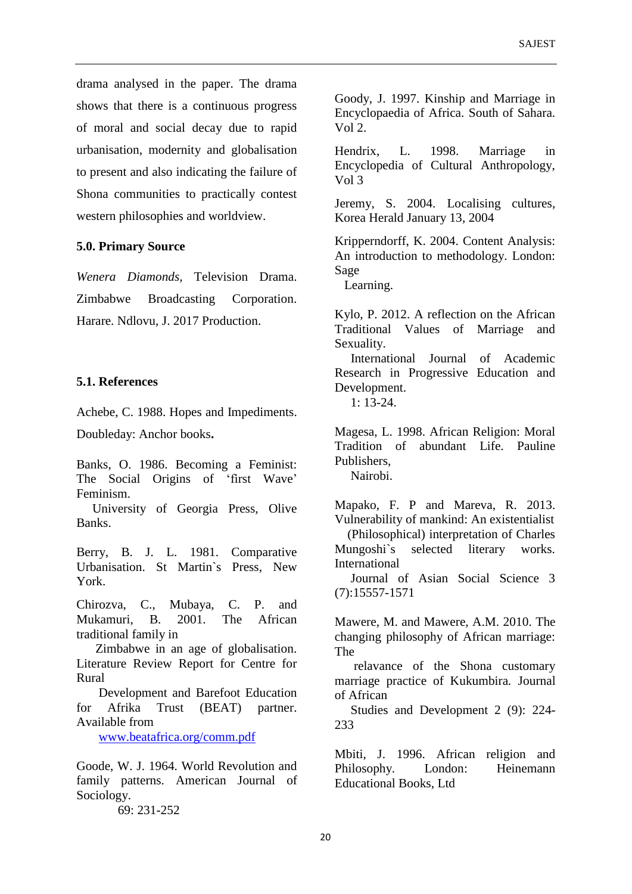drama analysed in the paper. The drama shows that there is a continuous progress of moral and social decay due to rapid urbanisation, modernity and globalisation to present and also indicating the failure of Shona communities to practically contest western philosophies and worldview.

#### **5.0. Primary Source**

*Wenera Diamonds,* Television Drama. Zimbabwe Broadcasting Corporation. Harare. Ndlovu, J. 2017 Production.

# **5.1. References**

Achebe, C. 1988. Hopes and Impediments.

Doubleday: Anchor books**.**

Banks, O. 1986. Becoming a Feminist: The Social Origins of 'first Wave' Feminism.

 University of Georgia Press, Olive Banks.

Berry, B. J. L. 1981. Comparative Urbanisation. St Martin`s Press, New York.

Chirozva, C., Mubaya, C. P. and Mukamuri, B. 2001. The African traditional family in

 Zimbabwe in an age of globalisation. Literature Review Report for Centre for Rural

 Development and Barefoot Education for Afrika Trust (BEAT) partner. Available from

[www.beatafrica.org/comm.pdf](http://www.beatafrica.org/comm.pdf)

Goode, W. J. 1964. World Revolution and family patterns. American Journal of Sociology.

69: 231-252

Goody, J. 1997. Kinship and Marriage in Encyclopaedia of Africa. South of Sahara. Vol 2.

Hendrix, L. 1998. Marriage in Encyclopedia of Cultural Anthropology, Vol 3

Jeremy, S. 2004. Localising cultures, Korea Herald January 13, 2004

Kripperndorff, K. 2004. Content Analysis: An introduction to methodology. London: Sage

Learning.

Kylo, P. 2012. A reflection on the African Traditional Values of Marriage and Sexuality.

 International Journal of Academic Research in Progressive Education and Development.

1: 13-24.

Magesa, L. 1998. African Religion: Moral Tradition of abundant Life. Pauline Publishers, Nairobi.

Mapako, F. P and Mareva, R. 2013. Vulnerability of mankind: An existentialist

 (Philosophical) interpretation of Charles Mungoshi`s selected literary works. International

 Journal of Asian Social Science 3 (7):15557-1571

Mawere, M. and Mawere, A.M. 2010. The changing philosophy of African marriage: The

 relavance of the Shona customary marriage practice of Kukumbira*.* Journal of African

 Studies and Development 2 (9): 224- 233

Mbiti, J. 1996. African religion and Philosophy. London: Heinemann Educational Books, Ltd